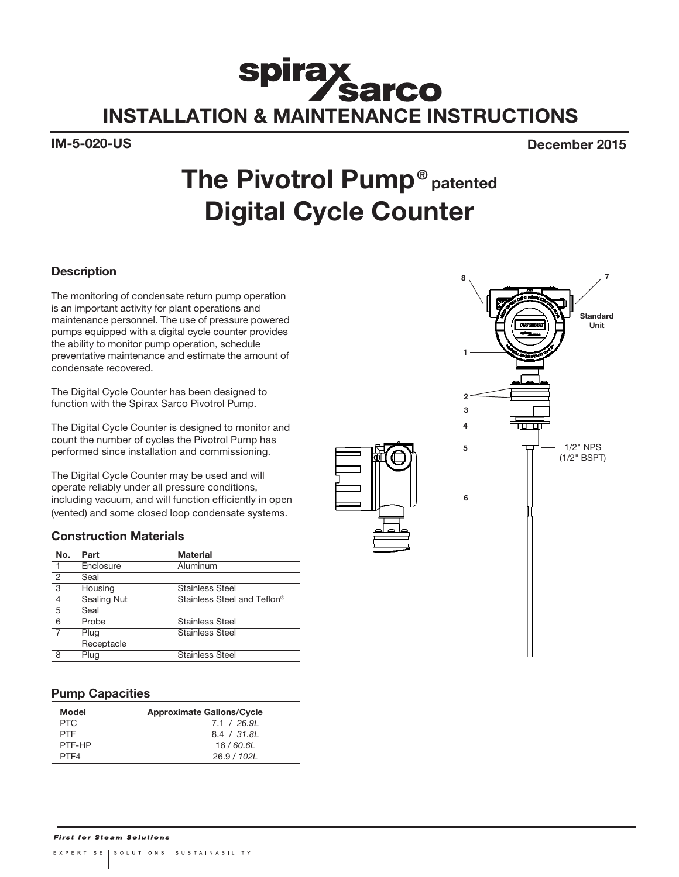# Spirax<br>INSTALLATION & MAINTENANCE INSTRUCTIONS

IM-5-020-US December 2015

## The Pivotrol Pump<sup>®</sup> patented Digital Cycle Counter

#### **Description**

The monitoring of condensate return pump operation is an important activity for plant operations and maintenance personnel. The use of pressure powered pumps equipped with a digital cycle counter provides the ability to monitor pump operation, schedule preventative maintenance and estimate the amount of condensate recovered.

The Digital Cycle Counter has been designed to function with the Spirax Sarco Pivotrol Pump.

The Digital Cycle Counter is designed to monitor and count the number of cycles the Pivotrol Pump has performed since installation and commissioning.

The Digital Cycle Counter may be used and will operate reliably under all pressure conditions, including vacuum, and will function efficiently in open (vented) and some closed loop condensate systems.

#### Construction Materials

| No.            | Part        | <b>Material</b>             |
|----------------|-------------|-----------------------------|
| $\mathbf{1}$   | Enclosure   | Aluminum                    |
| $\overline{2}$ | Seal        |                             |
| $\overline{3}$ | Housing     | <b>Stainless Steel</b>      |
| $\overline{4}$ | Sealing Nut | Stainless Steel and Teflon® |
| $\overline{5}$ | Seal        |                             |
| 6              | Probe       | <b>Stainless Steel</b>      |
|                | Plug        | Stainless Steel             |
|                | Receptacle  |                             |
| 8              | Plug        | <b>Stainless Steel</b>      |

#### Pump Capacities

| Model      | <b>Approximate Gallons/Cycle</b> |
|------------|----------------------------------|
| <b>PTC</b> | 7.1 / 26.91                      |
| <b>PTF</b> | 8.4 / 31.8L                      |
| PTF-HP     | 16 / 60 61                       |
| PTF4       | 26.9 / 102L                      |